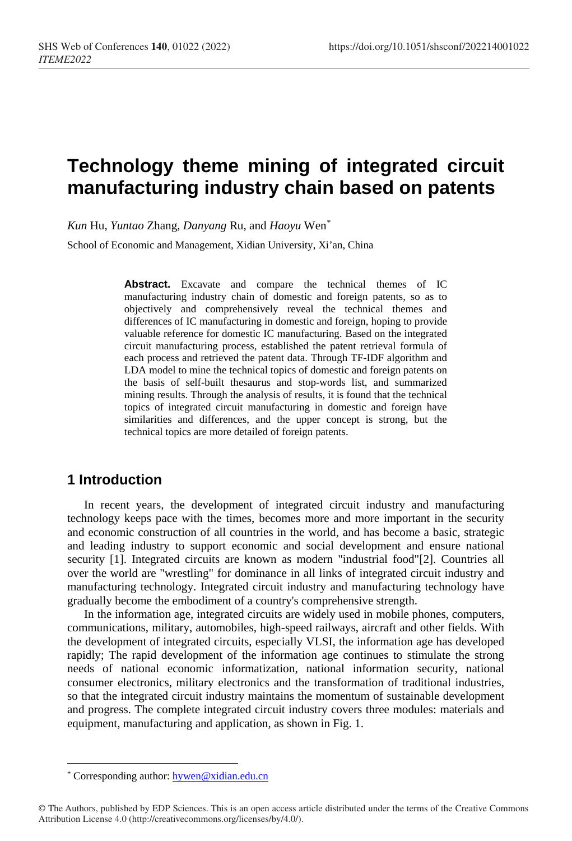# **Technology theme mining of integrated circuit manufacturing industry chain based on patents**

*Kun* Hu, *Yuntao* Zhang, *Danyang* Ru, and *Haoyu* Wen[\\*](#page-0-0)

School of Economic and Management, Xidian University, Xi'an, China

**Abstract.** Excavate and compare the technical themes of IC manufacturing industry chain of domestic and foreign patents, so as to objectively and comprehensively reveal the technical themes and differences of IC manufacturing in domestic and foreign, hoping to provide valuable reference for domestic IC manufacturing. Based on the integrated circuit manufacturing process, established the patent retrieval formula of each process and retrieved the patent data. Through TF-IDF algorithm and LDA model to mine the technical topics of domestic and foreign patents on the basis of self-built thesaurus and stop-words list, and summarized mining results. Through the analysis of results, it is found that the technical topics of integrated circuit manufacturing in domestic and foreign have similarities and differences, and the upper concept is strong, but the technical topics are more detailed of foreign patents.

### **1 Introduction**

In recent years, the development of integrated circuit industry and manufacturing technology keeps pace with the times, becomes more and more important in the security and economic construction of all countries in the world, and has become a basic, strategic and leading industry to support economic and social development and ensure national security [1]. Integrated circuits are known as modern "industrial food"[2]. Countries all over the world are "wrestling" for dominance in all links of integrated circuit industry and manufacturing technology. Integrated circuit industry and manufacturing technology have gradually become the embodiment of a country's comprehensive strength.

In the information age, integrated circuits are widely used in mobile phones, computers, communications, military, automobiles, high-speed railways, aircraft and other fields. With the development of integrated circuits, especially VLSI, the information age has developed rapidly; The rapid development of the information age continues to stimulate the strong needs of national economic informatization, national information security, national consumer electronics, military electronics and the transformation of traditional industries, so that the integrated circuit industry maintains the momentum of sustainable development and progress. The complete integrated circuit industry covers three modules: materials and equipment, manufacturing and application, as shown in Fig. 1.

 $\overline{a}$ 

<span id="page-0-0"></span><sup>\*</sup> Corresponding author[: hywen@xidian.edu.cn](mailto:hywen@xidian.edu.cn)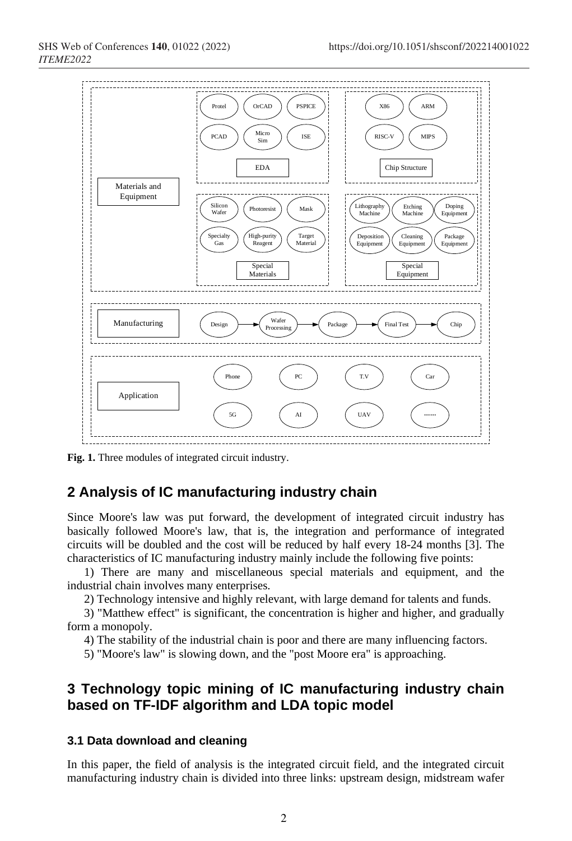

**Fig. 1.** Three modules of integrated circuit industry.

## **2 Analysis of IC manufacturing industry chain**

Since Moore's law was put forward, the development of integrated circuit industry has basically followed Moore's law, that is, the integration and performance of integrated circuits will be doubled and the cost will be reduced by half every 18-24 months [3]. The characteristics of IC manufacturing industry mainly include the following five points:

1) There are many and miscellaneous special materials and equipment, and the industrial chain involves many enterprises.

2) Technology intensive and highly relevant, with large demand for talents and funds.

3) "Matthew effect" is significant, the concentration is higher and higher, and gradually form a monopoly.

4) The stability of the industrial chain is poor and there are many influencing factors.

5) "Moore's law" is slowing down, and the "post Moore era" is approaching.

## **3 Technology topic mining of IC manufacturing industry chain based on TF-IDF algorithm and LDA topic model**

#### **3.1 Data download and cleaning**

In this paper, the field of analysis is the integrated circuit field, and the integrated circuit manufacturing industry chain is divided into three links: upstream design, midstream wafer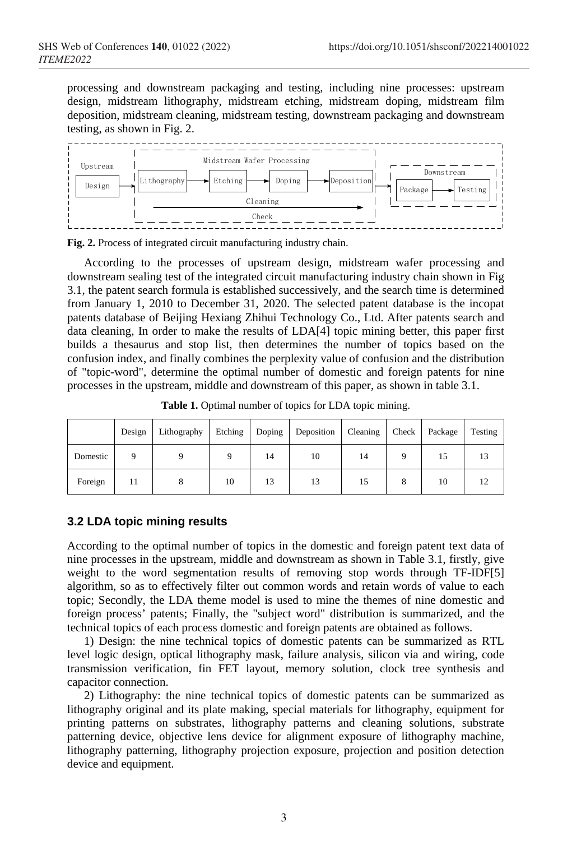processing and downstream packaging and testing, including nine processes: upstream design, midstream lithography, midstream etching, midstream doping, midstream film deposition, midstream cleaning, midstream testing, downstream packaging and downstream testing, as shown in Fig. 2.



**Fig. 2.** Process of integrated circuit manufacturing industry chain.

According to the processes of upstream design, midstream wafer processing and downstream sealing test of the integrated circuit manufacturing industry chain shown in Fig 3.1, the patent search formula is established successively, and the search time is determined from January 1, 2010 to December 31, 2020. The selected patent database is the incopat patents database of Beijing Hexiang Zhihui Technology Co., Ltd. After patents search and data cleaning, In order to make the results of LDA[4] topic mining better, this paper first builds a thesaurus and stop list, then determines the number of topics based on the confusion index, and finally combines the perplexity value of confusion and the distribution of "topic-word", determine the optimal number of domestic and foreign patents for nine processes in the upstream, middle and downstream of this paper, as shown in table 3.1.

|          | Design | Lithography | Etching | Doping | Deposition | Cleaning Check Package |    | Testing |
|----------|--------|-------------|---------|--------|------------|------------------------|----|---------|
| Domestic |        |             |         | 14     | 10         | 14                     | 15 |         |
| Foreign  | 11     |             | 10      | 13     | 13         | 15                     | 10 |         |

**Table 1.** Optimal number of topics for LDA topic mining.

#### **3.2 LDA topic mining results**

According to the optimal number of topics in the domestic and foreign patent text data of nine processes in the upstream, middle and downstream as shown in Table 3.1, firstly, give weight to the word segmentation results of removing stop words through TF-IDF[5] algorithm, so as to effectively filter out common words and retain words of value to each topic; Secondly, the LDA theme model is used to mine the themes of nine domestic and foreign process' patents; Finally, the "subject word" distribution is summarized, and the technical topics of each process domestic and foreign patents are obtained as follows.

1) Design: the nine technical topics of domestic patents can be summarized as RTL level logic design, optical lithography mask, failure analysis, silicon via and wiring, code transmission verification, fin FET layout, memory solution, clock tree synthesis and capacitor connection.

2) Lithography: the nine technical topics of domestic patents can be summarized as lithography original and its plate making, special materials for lithography, equipment for printing patterns on substrates, lithography patterns and cleaning solutions, substrate patterning device, objective lens device for alignment exposure of lithography machine, lithography patterning, lithography projection exposure, projection and position detection device and equipment.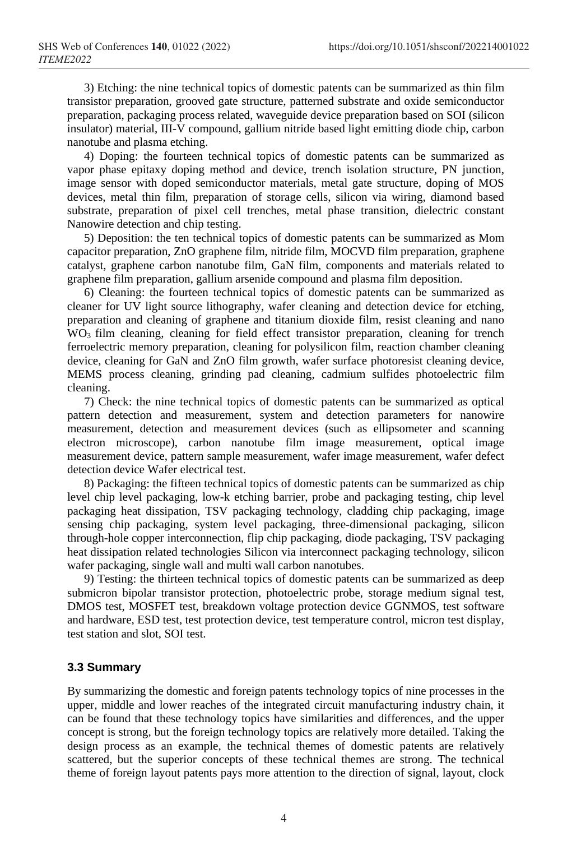3) Etching: the nine technical topics of domestic patents can be summarized as thin film transistor preparation, grooved gate structure, patterned substrate and oxide semiconductor preparation, packaging process related, waveguide device preparation based on SOI (silicon insulator) material, III-V compound, gallium nitride based light emitting diode chip, carbon nanotube and plasma etching.

4) Doping: the fourteen technical topics of domestic patents can be summarized as vapor phase epitaxy doping method and device, trench isolation structure, PN junction, image sensor with doped semiconductor materials, metal gate structure, doping of MOS devices, metal thin film, preparation of storage cells, silicon via wiring, diamond based substrate, preparation of pixel cell trenches, metal phase transition, dielectric constant Nanowire detection and chip testing.

5) Deposition: the ten technical topics of domestic patents can be summarized as Mom capacitor preparation, ZnO graphene film, nitride film, MOCVD film preparation, graphene catalyst, graphene carbon nanotube film, GaN film, components and materials related to graphene film preparation, gallium arsenide compound and plasma film deposition.

6) Cleaning: the fourteen technical topics of domestic patents can be summarized as cleaner for UV light source lithography, wafer cleaning and detection device for etching, preparation and cleaning of graphene and titanium dioxide film, resist cleaning and nano WO<sub>3</sub> film cleaning, cleaning for field effect transistor preparation, cleaning for trench ferroelectric memory preparation, cleaning for polysilicon film, reaction chamber cleaning device, cleaning for GaN and ZnO film growth, wafer surface photoresist cleaning device, MEMS process cleaning, grinding pad cleaning, cadmium sulfides photoelectric film cleaning.

7) Check: the nine technical topics of domestic patents can be summarized as optical pattern detection and measurement, system and detection parameters for nanowire measurement, detection and measurement devices (such as ellipsometer and scanning electron microscope), carbon nanotube film image measurement, optical image measurement device, pattern sample measurement, wafer image measurement, wafer defect detection device Wafer electrical test.

8) Packaging: the fifteen technical topics of domestic patents can be summarized as chip level chip level packaging, low-k etching barrier, probe and packaging testing, chip level packaging heat dissipation, TSV packaging technology, cladding chip packaging, image sensing chip packaging, system level packaging, three-dimensional packaging, silicon through-hole copper interconnection, flip chip packaging, diode packaging, TSV packaging heat dissipation related technologies Silicon via interconnect packaging technology, silicon wafer packaging, single wall and multi wall carbon nanotubes.

9) Testing: the thirteen technical topics of domestic patents can be summarized as deep submicron bipolar transistor protection, photoelectric probe, storage medium signal test, DMOS test, MOSFET test, breakdown voltage protection device GGNMOS, test software and hardware, ESD test, test protection device, test temperature control, micron test display, test station and slot, SOI test.

#### **3.3 Summary**

By summarizing the domestic and foreign patents technology topics of nine processes in the upper, middle and lower reaches of the integrated circuit manufacturing industry chain, it can be found that these technology topics have similarities and differences, and the upper concept is strong, but the foreign technology topics are relatively more detailed. Taking the design process as an example, the technical themes of domestic patents are relatively scattered, but the superior concepts of these technical themes are strong. The technical theme of foreign layout patents pays more attention to the direction of signal, layout, clock